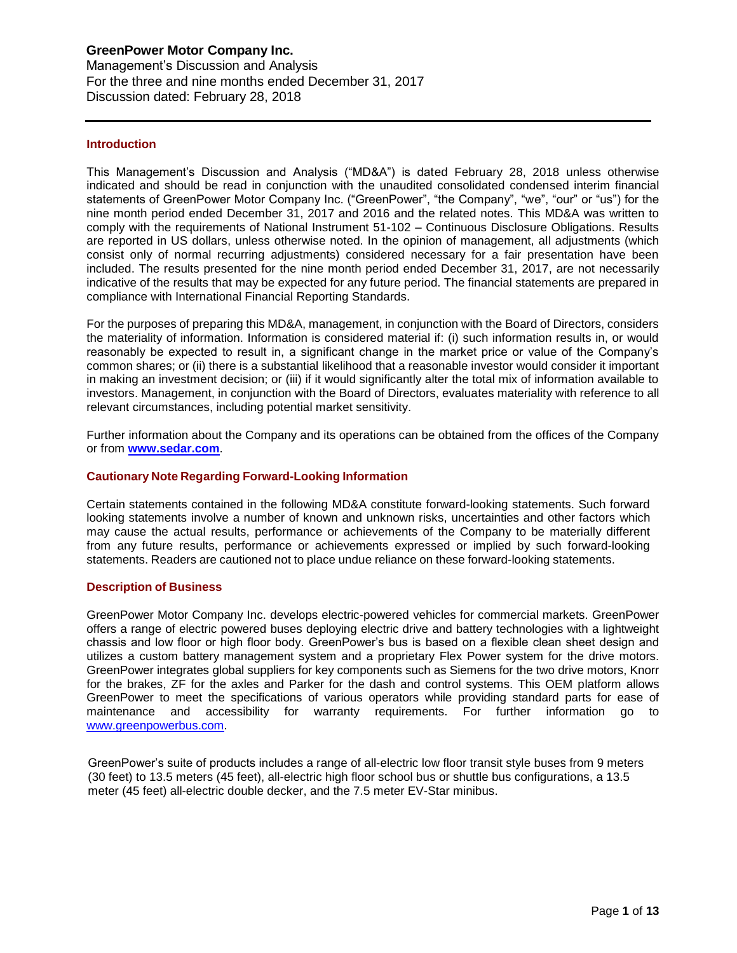#### **Introduction**

This Management's Discussion and Analysis ("MD&A") is dated February 28, 2018 unless otherwise indicated and should be read in conjunction with the unaudited consolidated condensed interim financial statements of GreenPower Motor Company Inc. ("GreenPower", "the Company", "we", "our" or "us") for the nine month period ended December 31, 2017 and 2016 and the related notes. This MD&A was written to comply with the requirements of National Instrument 51-102 – Continuous Disclosure Obligations. Results are reported in US dollars, unless otherwise noted. In the opinion of management, all adjustments (which consist only of normal recurring adjustments) considered necessary for a fair presentation have been included. The results presented for the nine month period ended December 31, 2017, are not necessarily indicative of the results that may be expected for any future period. The financial statements are prepared in compliance with International Financial Reporting Standards.

For the purposes of preparing this MD&A, management, in conjunction with the Board of Directors, considers the materiality of information. Information is considered material if: (i) such information results in, or would reasonably be expected to result in, a significant change in the market price or value of the Company's common shares; or (ii) there is a substantial likelihood that a reasonable investor would consider it important in making an investment decision; or (iii) if it would significantly alter the total mix of information available to investors. Management, in conjunction with the Board of Directors, evaluates materiality with reference to all relevant circumstances, including potential market sensitivity.

Further information about the Company and its operations can be obtained from the offices of the Company or from **[www.sedar.com](http://www.sedar.com/)**.

#### **Cautionary Note Regarding Forward-Looking Information**

Certain statements contained in the following MD&A constitute forward-looking statements. Such forward looking statements involve a number of known and unknown risks, uncertainties and other factors which may cause the actual results, performance or achievements of the Company to be materially different from any future results, performance or achievements expressed or implied by such forward-looking statements. Readers are cautioned not to place undue reliance on these forward-looking statements.

#### **Description of Business**

GreenPower Motor Company Inc. develops electric-powered vehicles for commercial markets. GreenPower offers a range of electric powered buses deploying electric drive and battery technologies with a lightweight chassis and low floor or high floor body. GreenPower's bus is based on a flexible clean sheet design and utilizes a custom battery management system and a proprietary Flex Power system for the drive motors. GreenPower integrates global suppliers for key components such as Siemens for the two drive motors, Knorr for the brakes, ZF for the axles and Parker for the dash and control systems. This OEM platform allows GreenPower to meet the specifications of various operators while providing standard parts for ease of maintenance and accessibility for warranty requirements. For further information go to [www.greenpowerbus.com.](http://www.greenpowerbus.com/)

GreenPower's suite of products includes a range of all-electric low floor transit style buses from 9 meters (30 feet) to 13.5 meters (45 feet), all-electric high floor school bus or shuttle bus configurations, a 13.5 meter (45 feet) all-electric double decker, and the 7.5 meter EV-Star minibus.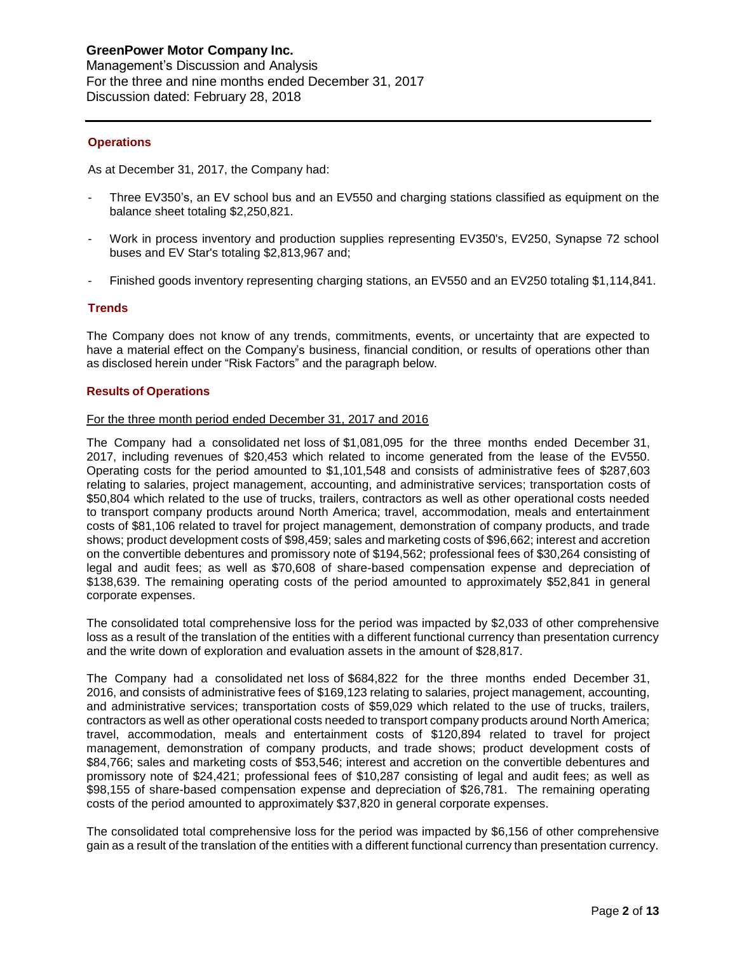## **Operations**

As at December 31, 2017, the Company had:

- Three EV350's, an EV school bus and an EV550 and charging stations classified as equipment on the balance sheet totaling \$2,250,821.
- Work in process inventory and production supplies representing EV350's, EV250, Synapse 72 school buses and EV Star's totaling \$2,813,967 and;
- Finished goods inventory representing charging stations, an EV550 and an EV250 totaling \$1,114,841.

#### **Trends**

The Company does not know of any trends, commitments, events, or uncertainty that are expected to have a material effect on the Company's business, financial condition, or results of operations other than as disclosed herein under "Risk Factors" and the paragraph below.

#### **Results of Operations**

#### For the three month period ended December 31, 2017 and 2016

The Company had a consolidated net loss of \$1,081,095 for the three months ended December 31, 2017, including revenues of \$20,453 which related to income generated from the lease of the EV550. Operating costs for the period amounted to \$1,101,548 and consists of administrative fees of \$287,603 relating to salaries, project management, accounting, and administrative services; transportation costs of \$50,804 which related to the use of trucks, trailers, contractors as well as other operational costs needed to transport company products around North America; travel, accommodation, meals and entertainment costs of \$81,106 related to travel for project management, demonstration of company products, and trade shows; product development costs of \$98,459; sales and marketing costs of \$96,662; interest and accretion on the convertible debentures and promissory note of \$194,562; professional fees of \$30,264 consisting of legal and audit fees; as well as \$70,608 of share-based compensation expense and depreciation of \$138,639. The remaining operating costs of the period amounted to approximately \$52,841 in general corporate expenses.

The consolidated total comprehensive loss for the period was impacted by \$2,033 of other comprehensive loss as a result of the translation of the entities with a different functional currency than presentation currency and the write down of exploration and evaluation assets in the amount of \$28,817.

The Company had a consolidated net loss of \$684,822 for the three months ended December 31, 2016, and consists of administrative fees of \$169,123 relating to salaries, project management, accounting, and administrative services; transportation costs of \$59,029 which related to the use of trucks, trailers, contractors as well as other operational costs needed to transport company products around North America; travel, accommodation, meals and entertainment costs of \$120,894 related to travel for project management, demonstration of company products, and trade shows; product development costs of \$84,766; sales and marketing costs of \$53,546; interest and accretion on the convertible debentures and promissory note of \$24,421; professional fees of \$10,287 consisting of legal and audit fees; as well as \$98,155 of share-based compensation expense and depreciation of \$26,781. The remaining operating costs of the period amounted to approximately \$37,820 in general corporate expenses.

The consolidated total comprehensive loss for the period was impacted by \$6,156 of other comprehensive gain as a result of the translation of the entities with a different functional currency than presentation currency.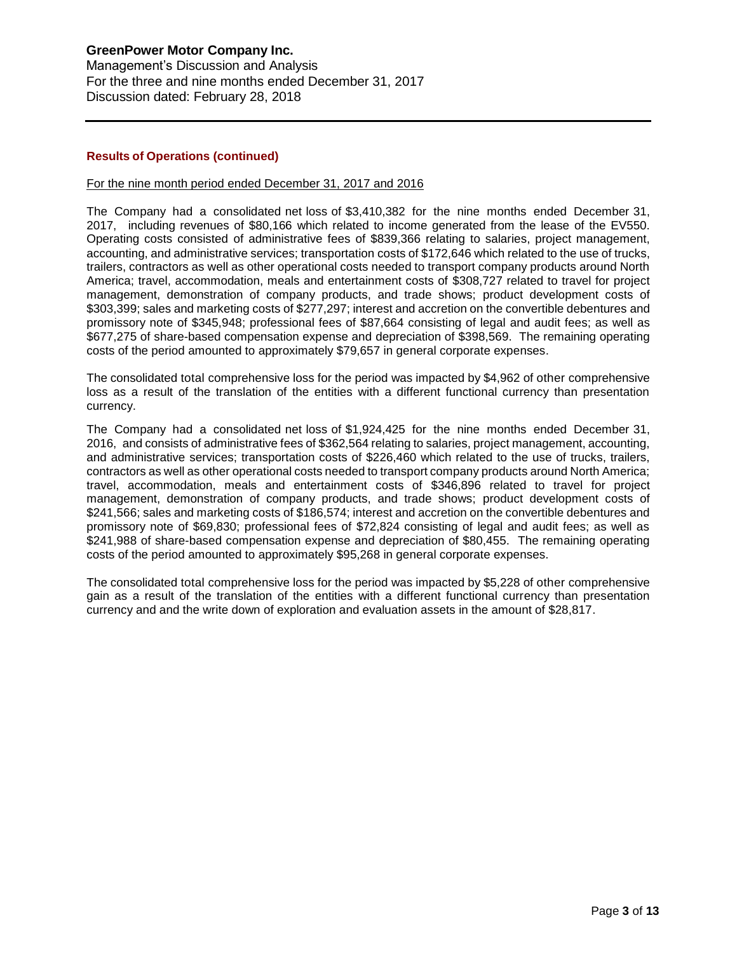## **Results of Operations (continued)**

#### For the nine month period ended December 31, 2017 and 2016

The Company had a consolidated net loss of \$3,410,382 for the nine months ended December 31, 2017, including revenues of \$80,166 which related to income generated from the lease of the EV550. Operating costs consisted of administrative fees of \$839,366 relating to salaries, project management, accounting, and administrative services; transportation costs of \$172,646 which related to the use of trucks, trailers, contractors as well as other operational costs needed to transport company products around North America; travel, accommodation, meals and entertainment costs of \$308,727 related to travel for project management, demonstration of company products, and trade shows; product development costs of \$303,399; sales and marketing costs of \$277,297; interest and accretion on the convertible debentures and promissory note of \$345,948; professional fees of \$87,664 consisting of legal and audit fees; as well as \$677,275 of share-based compensation expense and depreciation of \$398,569. The remaining operating costs of the period amounted to approximately \$79,657 in general corporate expenses.

The consolidated total comprehensive loss for the period was impacted by \$4,962 of other comprehensive loss as a result of the translation of the entities with a different functional currency than presentation currency.

The Company had a consolidated net loss of \$1,924,425 for the nine months ended December 31, 2016, and consists of administrative fees of \$362,564 relating to salaries, project management, accounting, and administrative services; transportation costs of \$226,460 which related to the use of trucks, trailers, contractors as well as other operational costs needed to transport company products around North America; travel, accommodation, meals and entertainment costs of \$346,896 related to travel for project management, demonstration of company products, and trade shows; product development costs of \$241,566; sales and marketing costs of \$186,574; interest and accretion on the convertible debentures and promissory note of \$69,830; professional fees of \$72,824 consisting of legal and audit fees; as well as \$241,988 of share-based compensation expense and depreciation of \$80,455. The remaining operating costs of the period amounted to approximately \$95,268 in general corporate expenses.

The consolidated total comprehensive loss for the period was impacted by \$5,228 of other comprehensive gain as a result of the translation of the entities with a different functional currency than presentation currency and and the write down of exploration and evaluation assets in the amount of \$28,817.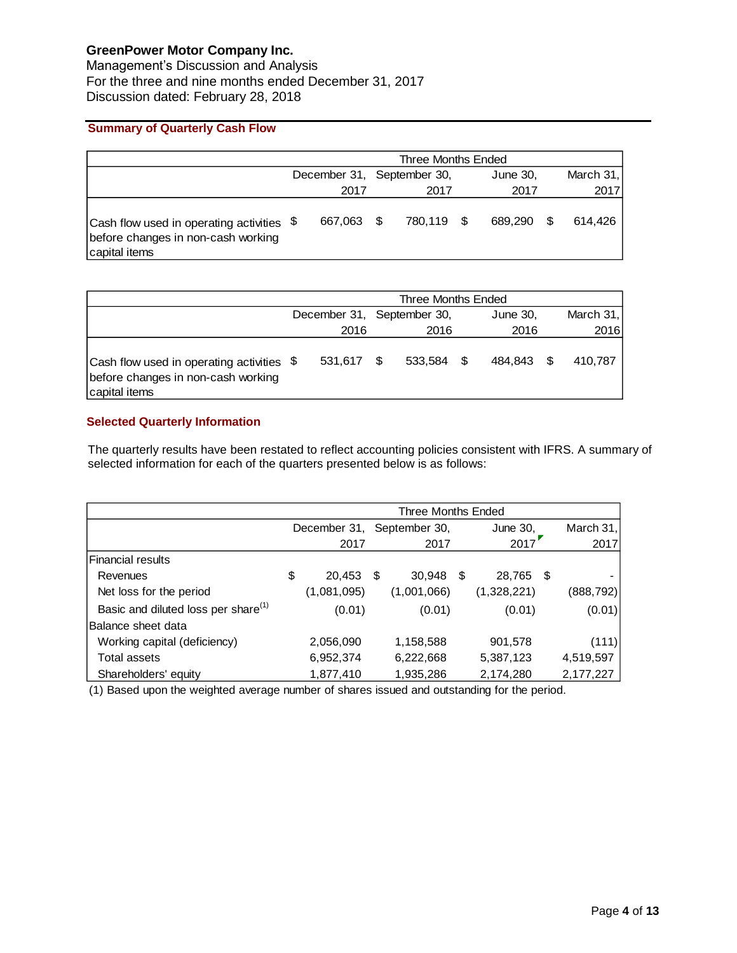Management's Discussion and Analysis For the three and nine months ended December 31, 2017 Discussion dated: February 28, 2018

# **Summary of Quarterly Cash Flow**

|                                                                                                  | Three Months Ended |            |  |                            |  |            |  |           |
|--------------------------------------------------------------------------------------------------|--------------------|------------|--|----------------------------|--|------------|--|-----------|
|                                                                                                  |                    |            |  | December 31, September 30, |  | June 30,   |  | March 31, |
|                                                                                                  |                    | 2017       |  | 2017                       |  | 2017       |  | 2017      |
| Cash flow used in operating activities \$<br>before changes in non-cash working<br>capital items |                    | 667.063 \$ |  | 780.119 \$                 |  | 689.290 \$ |  | 614.426   |

|                                                                                                                     | Three Months Ended         |            |  |            |  |          |      |           |
|---------------------------------------------------------------------------------------------------------------------|----------------------------|------------|--|------------|--|----------|------|-----------|
|                                                                                                                     | December 31, September 30, |            |  |            |  | June 30, |      | March 31, |
|                                                                                                                     |                            | 2016       |  | 2016       |  | 2016     |      | 2016      |
| $\vert$ Cash flow used in operating activities $\frac{1}{2}$<br>before changes in non-cash working<br>capital items |                            | 531,617 \$ |  | 533.584 \$ |  | 484.843  | - \$ | 410.787   |

## **Selected Quarterly Information**

The quarterly results have been restated to reflect accounting policies consistent with IFRS. A summary of selected information for each of the quarters presented below is as follows:

|                                                 | Three Months Ended |              |     |               |      |             |  |             |
|-------------------------------------------------|--------------------|--------------|-----|---------------|------|-------------|--|-------------|
|                                                 |                    | December 31, |     | September 30, |      | June 30,    |  | March $31,$ |
|                                                 |                    | 2017         |     | 2017          |      | 2017        |  | 2017        |
| <b> Financial results</b>                       |                    |              |     |               |      |             |  |             |
| Revenues                                        | \$                 | 20,453       | -\$ | 30,948        | - \$ | 28,765 \$   |  |             |
| Net loss for the period                         |                    | (1,081,095)  |     | (1,001,066)   |      | (1,328,221) |  | (888, 792)  |
| Basic and diluted loss per share <sup>(1)</sup> |                    | (0.01)       |     | (0.01)        |      | (0.01)      |  | (0.01)      |
| Balance sheet data                              |                    |              |     |               |      |             |  |             |
| Working capital (deficiency)                    |                    | 2,056,090    |     | 1,158,588     |      | 901,578     |  | (111)       |
| Total assets                                    |                    | 6,952,374    |     | 6,222,668     |      | 5,387,123   |  | 4,519,597   |
| Shareholders' equity                            |                    | 1,877,410    |     | 1,935,286     |      | 2,174,280   |  | 2,177,227   |

(1) Based upon the weighted average number of shares issued and outstanding for the period.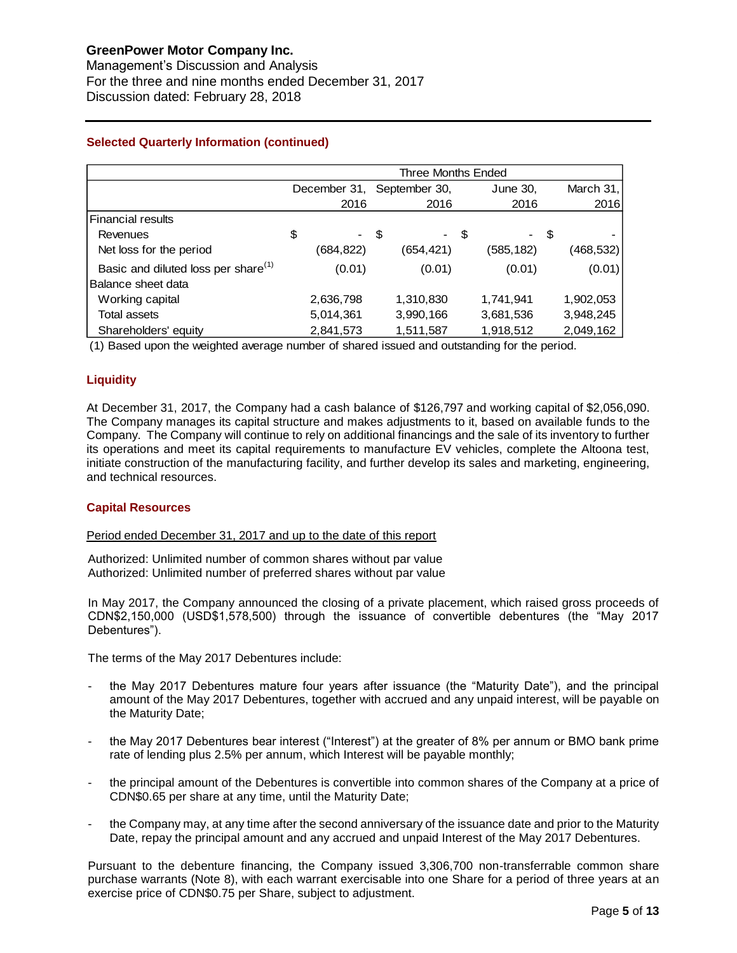Management's Discussion and Analysis For the three and nine months ended December 31, 2017 Discussion dated: February 28, 2018

# **Selected Quarterly Information (continued)**

|                                                 | Three Months Ended |               |              |             |  |  |  |
|-------------------------------------------------|--------------------|---------------|--------------|-------------|--|--|--|
|                                                 | December 31,       | September 30, | June 30,     | March $31,$ |  |  |  |
|                                                 | 2016               | 2016          | 2016         | 2016        |  |  |  |
| <b>Financial results</b>                        |                    |               |              |             |  |  |  |
| Revenues                                        | \$                 | \$            | - \$<br>- \$ |             |  |  |  |
| Net loss for the period                         | (684,822)          | (654,421)     | (585,182)    | (468,532)   |  |  |  |
| Basic and diluted loss per share <sup>(1)</sup> | (0.01)             | (0.01)        | (0.01)       | (0.01)      |  |  |  |
| Balance sheet data                              |                    |               |              |             |  |  |  |
| Working capital                                 | 2,636,798          | 1,310,830     | 1,741,941    | 1,902,053   |  |  |  |
| <b>Total assets</b>                             | 5,014,361          | 3,990,166     | 3,681,536    | 3,948,245   |  |  |  |
| Shareholders' equity                            | 2,841,573          | 1,511,587     | 1,918,512    | 2,049,162   |  |  |  |

(1) Based upon the weighted average number of shared issued and outstanding for the period.

# **Liquidity**

At December 31, 2017, the Company had a cash balance of \$126,797 and working capital of \$2,056,090. The Company manages its capital structure and makes adjustments to it, based on available funds to the Company. The Company will continue to rely on additional financings and the sale of its inventory to further its operations and meet its capital requirements to manufacture EV vehicles, complete the Altoona test, initiate construction of the manufacturing facility, and further develop its sales and marketing, engineering, and technical resources.

#### **Capital Resources**

#### Period ended December 31, 2017 and up to the date of this report

Authorized: Unlimited number of common shares without par value Authorized: Unlimited number of preferred shares without par value

In May 2017, the Company announced the closing of a private placement, which raised gross proceeds of CDN\$2,150,000 (USD\$1,578,500) through the issuance of convertible debentures (the "May 2017 Debentures").

The terms of the May 2017 Debentures include:

- the May 2017 Debentures mature four years after issuance (the "Maturity Date"), and the principal amount of the May 2017 Debentures, together with accrued and any unpaid interest, will be payable on the Maturity Date;
- the May 2017 Debentures bear interest ("Interest") at the greater of 8% per annum or BMO bank prime rate of lending plus 2.5% per annum, which Interest will be payable monthly;
- the principal amount of the Debentures is convertible into common shares of the Company at a price of CDN\$0.65 per share at any time, until the Maturity Date;
- the Company may, at any time after the second anniversary of the issuance date and prior to the Maturity Date, repay the principal amount and any accrued and unpaid Interest of the May 2017 Debentures.

Pursuant to the debenture financing, the Company issued 3,306,700 non-transferrable common share purchase warrants (Note 8), with each warrant exercisable into one Share for a period of three years at an exercise price of CDN\$0.75 per Share, subject to adjustment.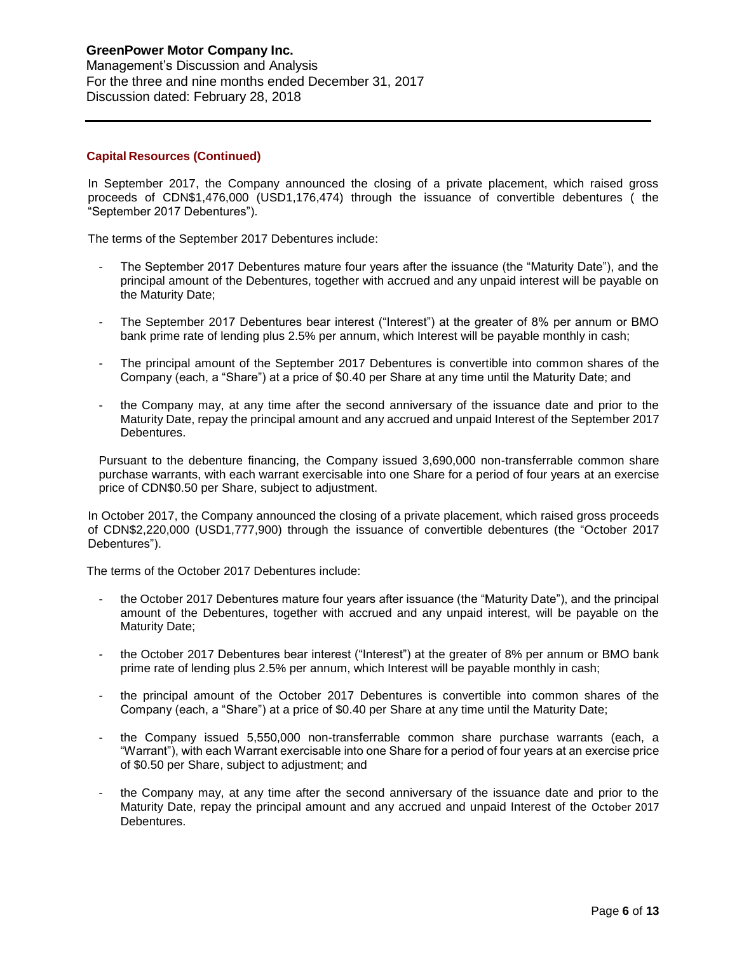Management's Discussion and Analysis For the three and nine months ended December 31, 2017 Discussion dated: February 28, 2018

## **Capital Resources (Continued)**

In September 2017, the Company announced the closing of a private placement, which raised gross proceeds of CDN\$1,476,000 (USD1,176,474) through the issuance of convertible debentures ( the "September 2017 Debentures").

The terms of the September 2017 Debentures include:

- The September 2017 Debentures mature four years after the issuance (the "Maturity Date"), and the principal amount of the Debentures, together with accrued and any unpaid interest will be payable on the Maturity Date;
- The September 2017 Debentures bear interest ("Interest") at the greater of 8% per annum or BMO bank prime rate of lending plus 2.5% per annum, which Interest will be payable monthly in cash;
- The principal amount of the September 2017 Debentures is convertible into common shares of the Company (each, a "Share") at a price of \$0.40 per Share at any time until the Maturity Date; and
- the Company may, at any time after the second anniversary of the issuance date and prior to the Maturity Date, repay the principal amount and any accrued and unpaid Interest of the September 2017 Debentures.

Pursuant to the debenture financing, the Company issued 3,690,000 non-transferrable common share purchase warrants, with each warrant exercisable into one Share for a period of four years at an exercise price of CDN\$0.50 per Share, subject to adjustment.

In October 2017, the Company announced the closing of a private placement, which raised gross proceeds of CDN\$2,220,000 (USD1,777,900) through the issuance of convertible debentures (the "October 2017 Debentures").

The terms of the October 2017 Debentures include:

- the October 2017 Debentures mature four years after issuance (the "Maturity Date"), and the principal amount of the Debentures, together with accrued and any unpaid interest, will be payable on the Maturity Date;
- the October 2017 Debentures bear interest ("Interest") at the greater of 8% per annum or BMO bank prime rate of lending plus 2.5% per annum, which Interest will be payable monthly in cash;
- the principal amount of the October 2017 Debentures is convertible into common shares of the Company (each, a "Share") at a price of \$0.40 per Share at any time until the Maturity Date;
- the Company issued 5,550,000 non-transferrable common share purchase warrants (each, a "Warrant"), with each Warrant exercisable into one Share for a period of four years at an exercise price of \$0.50 per Share, subject to adjustment; and
- the Company may, at any time after the second anniversary of the issuance date and prior to the Maturity Date, repay the principal amount and any accrued and unpaid Interest of the October 2017 Debentures.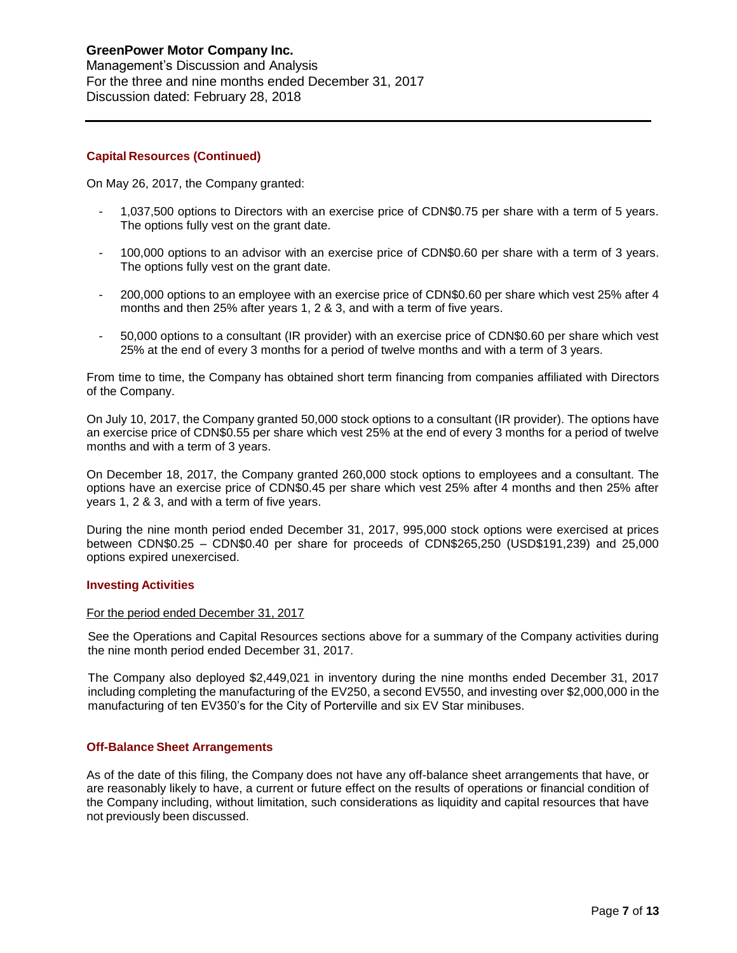#### **Capital Resources (Continued)**

On May 26, 2017, the Company granted:

- 1,037,500 options to Directors with an exercise price of CDN\$0.75 per share with a term of 5 years. The options fully vest on the grant date.
- 100,000 options to an advisor with an exercise price of CDN\$0.60 per share with a term of 3 years. The options fully vest on the grant date.
- 200,000 options to an employee with an exercise price of CDN\$0.60 per share which vest 25% after 4 months and then 25% after years 1, 2 & 3, and with a term of five years.
- 50,000 options to a consultant (IR provider) with an exercise price of CDN\$0.60 per share which vest 25% at the end of every 3 months for a period of twelve months and with a term of 3 years.

From time to time, the Company has obtained short term financing from companies affiliated with Directors of the Company.

On July 10, 2017, the Company granted 50,000 stock options to a consultant (IR provider). The options have an exercise price of CDN\$0.55 per share which vest 25% at the end of every 3 months for a period of twelve months and with a term of 3 years.

On December 18, 2017, the Company granted 260,000 stock options to employees and a consultant. The options have an exercise price of CDN\$0.45 per share which vest 25% after 4 months and then 25% after years 1, 2 & 3, and with a term of five years.

During the nine month period ended December 31, 2017, 995,000 stock options were exercised at prices between CDN\$0.25 – CDN\$0.40 per share for proceeds of CDN\$265,250 (USD\$191,239) and 25,000 options expired unexercised.

#### **Investing Activities**

#### For the period ended December 31, 2017

See the Operations and Capital Resources sections above for a summary of the Company activities during the nine month period ended December 31, 2017.

The Company also deployed \$2,449,021 in inventory during the nine months ended December 31, 2017 including completing the manufacturing of the EV250, a second EV550, and investing over \$2,000,000 in the manufacturing of ten EV350's for the City of Porterville and six EV Star minibuses.

#### **Off-Balance Sheet Arrangements**

As of the date of this filing, the Company does not have any off-balance sheet arrangements that have, or are reasonably likely to have, a current or future effect on the results of operations or financial condition of the Company including, without limitation, such considerations as liquidity and capital resources that have not previously been discussed.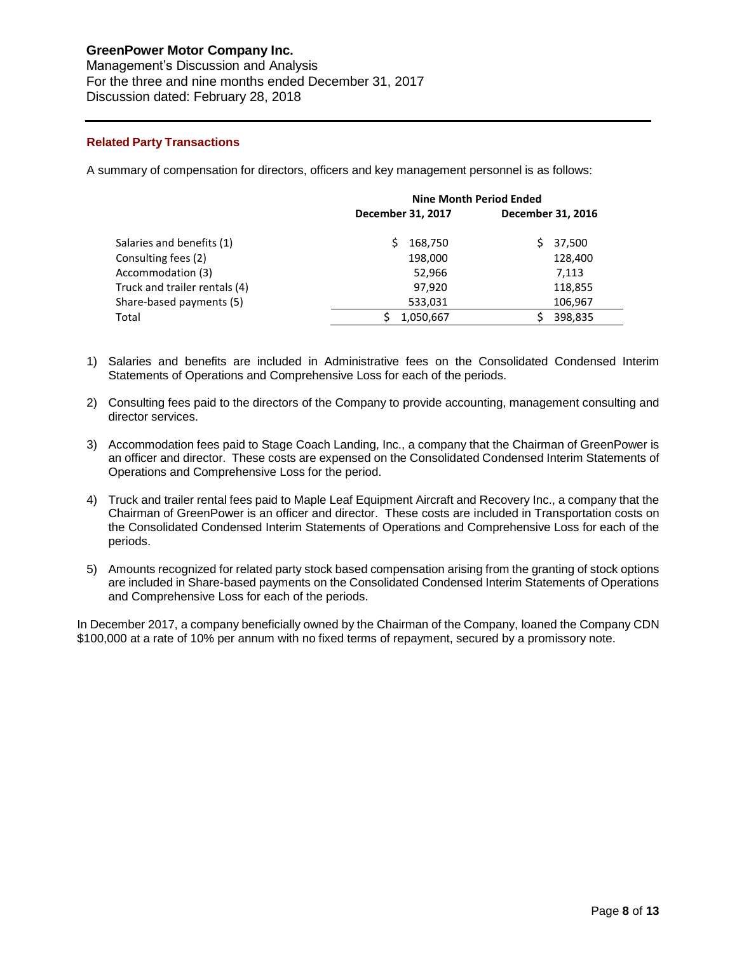Management's Discussion and Analysis For the three and nine months ended December 31, 2017 Discussion dated: February 28, 2018

## **Related Party Transactions**

A summary of compensation for directors, officers and key management personnel is as follows:

|                               | <b>Nine Month Period Ended</b> |                   |  |  |  |
|-------------------------------|--------------------------------|-------------------|--|--|--|
|                               | December 31, 2017              | December 31, 2016 |  |  |  |
| Salaries and benefits (1)     | 168,750                        | 37,500            |  |  |  |
| Consulting fees (2)           | 198,000                        | 128,400           |  |  |  |
| Accommodation (3)             | 52,966                         | 7,113             |  |  |  |
| Truck and trailer rentals (4) | 97,920                         | 118,855           |  |  |  |
| Share-based payments (5)      | 533,031                        | 106,967           |  |  |  |
| Total                         | 1,050,667                      | 398,835           |  |  |  |

- 1) Salaries and benefits are included in Administrative fees on the Consolidated Condensed Interim Statements of Operations and Comprehensive Loss for each of the periods.
- 2) Consulting fees paid to the directors of the Company to provide accounting, management consulting and director services.
- 3) Accommodation fees paid to Stage Coach Landing, Inc., a company that the Chairman of GreenPower is an officer and director. These costs are expensed on the Consolidated Condensed Interim Statements of Operations and Comprehensive Loss for the period.
- 4) Truck and trailer rental fees paid to Maple Leaf Equipment Aircraft and Recovery Inc., a company that the Chairman of GreenPower is an officer and director. These costs are included in Transportation costs on the Consolidated Condensed Interim Statements of Operations and Comprehensive Loss for each of the periods.
- 5) Amounts recognized for related party stock based compensation arising from the granting of stock options are included in Share-based payments on the Consolidated Condensed Interim Statements of Operations and Comprehensive Loss for each of the periods.

In December 2017, a company beneficially owned by the Chairman of the Company, loaned the Company CDN \$100,000 at a rate of 10% per annum with no fixed terms of repayment, secured by a promissory note.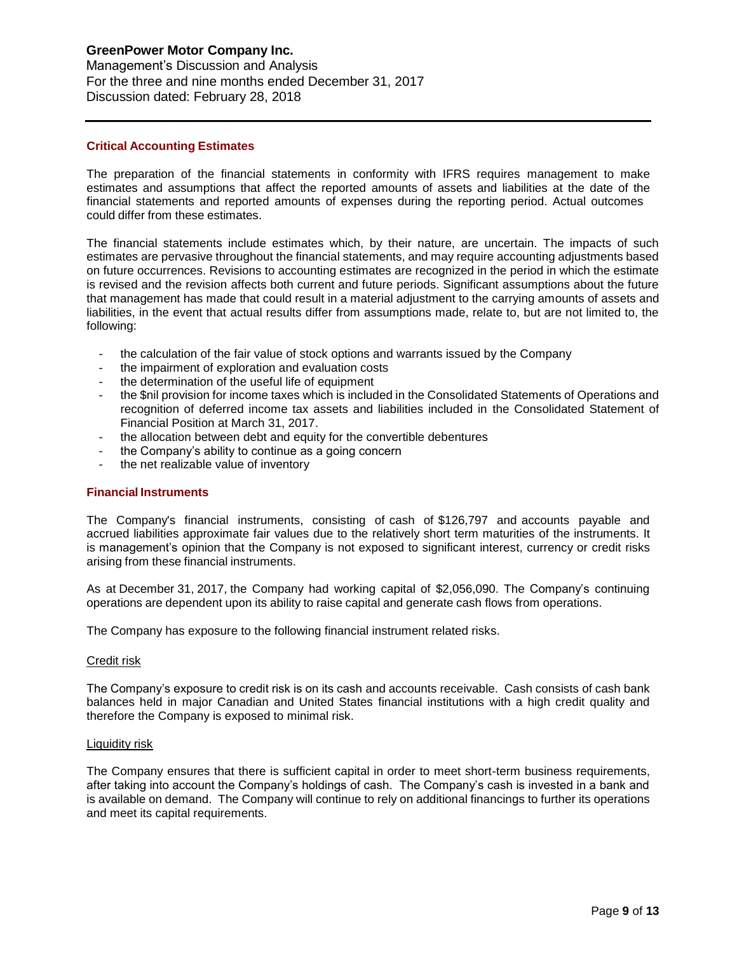Management's Discussion and Analysis For the three and nine months ended December 31, 2017 Discussion dated: February 28, 2018

#### **Critical Accounting Estimates**

The preparation of the financial statements in conformity with IFRS requires management to make estimates and assumptions that affect the reported amounts of assets and liabilities at the date of the financial statements and reported amounts of expenses during the reporting period. Actual outcomes could differ from these estimates.

The financial statements include estimates which, by their nature, are uncertain. The impacts of such estimates are pervasive throughout the financial statements, and may require accounting adjustments based on future occurrences. Revisions to accounting estimates are recognized in the period in which the estimate is revised and the revision affects both current and future periods. Significant assumptions about the future that management has made that could result in a material adjustment to the carrying amounts of assets and liabilities, in the event that actual results differ from assumptions made, relate to, but are not limited to, the following:

- the calculation of the fair value of stock options and warrants issued by the Company
- the impairment of exploration and evaluation costs
- the determination of the useful life of equipment
- the \$nil provision for income taxes which is included in the Consolidated Statements of Operations and recognition of deferred income tax assets and liabilities included in the Consolidated Statement of Financial Position at March 31, 2017.
- the allocation between debt and equity for the convertible debentures
- the Company's ability to continue as a going concern
- the net realizable value of inventory

#### **Financial Instruments**

The Company's financial instruments, consisting of cash of \$126,797 and accounts payable and accrued liabilities approximate fair values due to the relatively short term maturities of the instruments. It is management's opinion that the Company is not exposed to significant interest, currency or credit risks arising from these financial instruments.

As at December 31, 2017, the Company had working capital of \$2,056,090. The Company's continuing operations are dependent upon its ability to raise capital and generate cash flows from operations.

The Company has exposure to the following financial instrument related risks.

#### Credit risk

The Company's exposure to credit risk is on its cash and accounts receivable. Cash consists of cash bank balances held in major Canadian and United States financial institutions with a high credit quality and therefore the Company is exposed to minimal risk.

#### Liquidity risk

The Company ensures that there is sufficient capital in order to meet short-term business requirements, after taking into account the Company's holdings of cash. The Company's cash is invested in a bank and is available on demand. The Company will continue to rely on additional financings to further its operations and meet its capital requirements.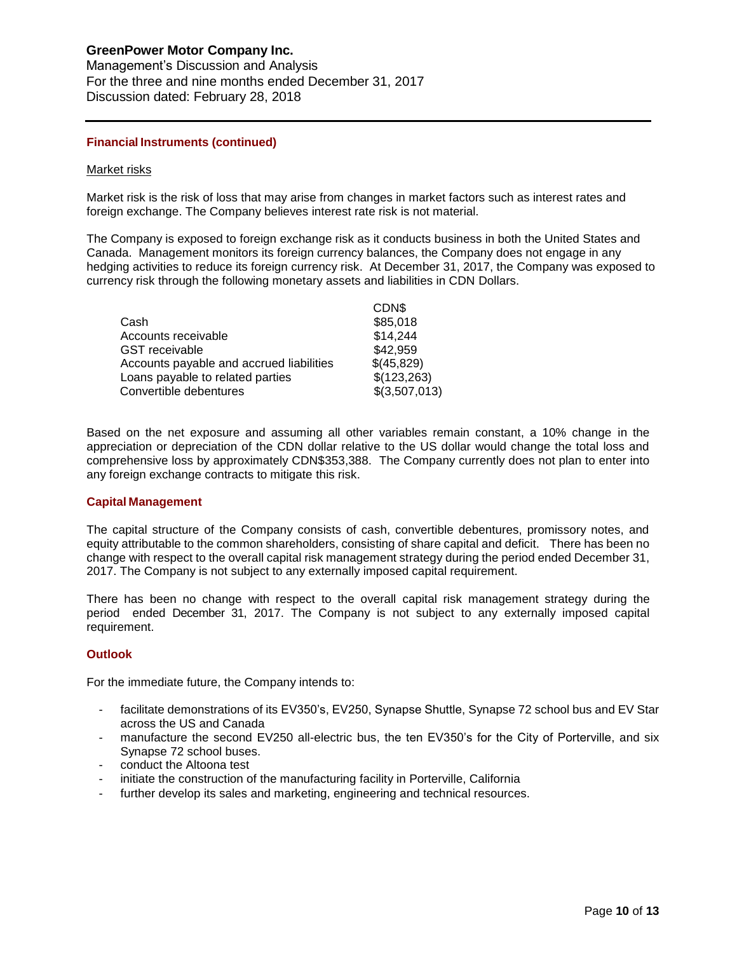Management's Discussion and Analysis For the three and nine months ended December 31, 2017 Discussion dated: February 28, 2018

#### **Financial Instruments (continued)**

#### Market risks

Market risk is the risk of loss that may arise from changes in market factors such as interest rates and foreign exchange. The Company believes interest rate risk is not material.

The Company is exposed to foreign exchange risk as it conducts business in both the United States and Canada. Management monitors its foreign currency balances, the Company does not engage in any hedging activities to reduce its foreign currency risk. At December 31, 2017, the Company was exposed to currency risk through the following monetary assets and liabilities in CDN Dollars.

|                                          | CDN\$         |
|------------------------------------------|---------------|
| Cash                                     | \$85,018      |
| Accounts receivable                      | \$14,244      |
| <b>GST</b> receivable                    | \$42,959      |
| Accounts payable and accrued liabilities | \$(45,829)    |
| Loans payable to related parties         | \$(123,263)   |
| Convertible debentures                   | \$(3,507,013) |
|                                          |               |

Based on the net exposure and assuming all other variables remain constant, a 10% change in the appreciation or depreciation of the CDN dollar relative to the US dollar would change the total loss and comprehensive loss by approximately CDN\$353,388. The Company currently does not plan to enter into any foreign exchange contracts to mitigate this risk.

#### **Capital Management**

The capital structure of the Company consists of cash, convertible debentures, promissory notes, and equity attributable to the common shareholders, consisting of share capital and deficit. There has been no change with respect to the overall capital risk management strategy during the period ended December 31, 2017. The Company is not subject to any externally imposed capital requirement.

There has been no change with respect to the overall capital risk management strategy during the period ended December 31, 2017. The Company is not subject to any externally imposed capital requirement.

#### **Outlook**

For the immediate future, the Company intends to:

- facilitate demonstrations of its EV350's, EV250, Synapse Shuttle, Synapse 72 school bus and EV Star across the US and Canada
- manufacture the second EV250 all-electric bus, the ten EV350's for the City of Porterville, and six Synapse 72 school buses.
- conduct the Altoona test
- initiate the construction of the manufacturing facility in Porterville, California
- further develop its sales and marketing, engineering and technical resources.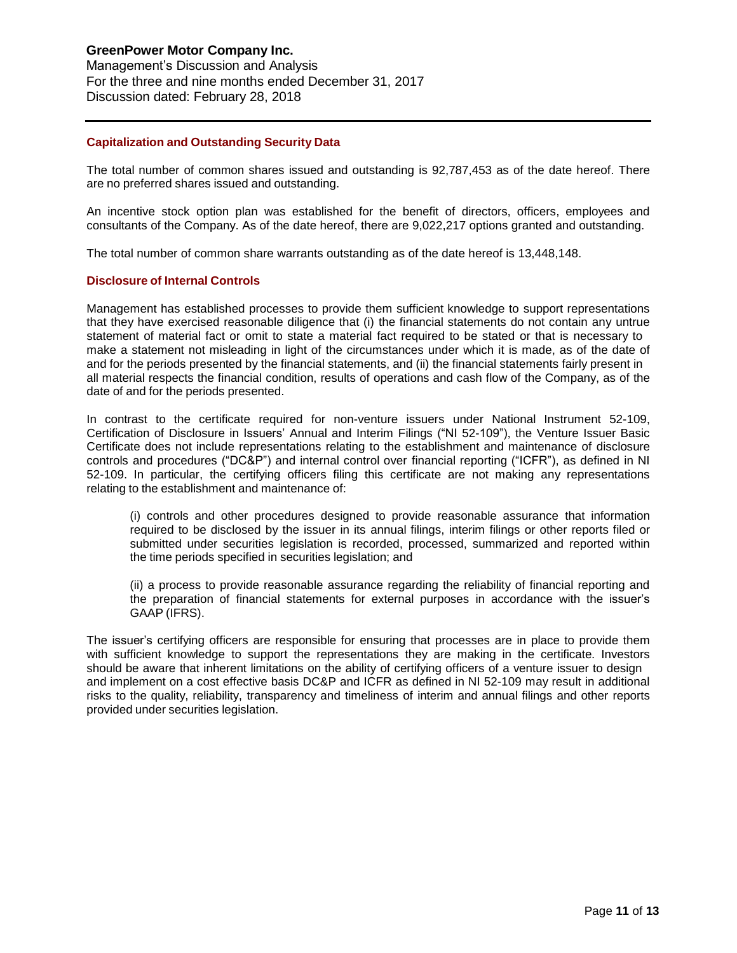## **GreenPower Motor Company Inc.** Management's Discussion and Analysis

For the three and nine months ended December 31, 2017 Discussion dated: February 28, 2018

## **Capitalization and Outstanding Security Data**

The total number of common shares issued and outstanding is 92,787,453 as of the date hereof. There are no preferred shares issued and outstanding.

An incentive stock option plan was established for the benefit of directors, officers, employees and consultants of the Company. As of the date hereof, there are 9,022,217 options granted and outstanding.

The total number of common share warrants outstanding as of the date hereof is 13,448,148.

## **Disclosure of Internal Controls**

Management has established processes to provide them sufficient knowledge to support representations that they have exercised reasonable diligence that (i) the financial statements do not contain any untrue statement of material fact or omit to state a material fact required to be stated or that is necessary to make a statement not misleading in light of the circumstances under which it is made, as of the date of and for the periods presented by the financial statements, and (ii) the financial statements fairly present in all material respects the financial condition, results of operations and cash flow of the Company, as of the date of and for the periods presented.

In contrast to the certificate required for non-venture issuers under National Instrument 52-109, Certification of Disclosure in Issuers' Annual and Interim Filings ("NI 52-109"), the Venture Issuer Basic Certificate does not include representations relating to the establishment and maintenance of disclosure controls and procedures ("DC&P") and internal control over financial reporting ("ICFR"), as defined in NI 52-109. In particular, the certifying officers filing this certificate are not making any representations relating to the establishment and maintenance of:

(i) controls and other procedures designed to provide reasonable assurance that information required to be disclosed by the issuer in its annual filings, interim filings or other reports filed or submitted under securities legislation is recorded, processed, summarized and reported within the time periods specified in securities legislation; and

(ii) a process to provide reasonable assurance regarding the reliability of financial reporting and the preparation of financial statements for external purposes in accordance with the issuer's GAAP (IFRS).

The issuer's certifying officers are responsible for ensuring that processes are in place to provide them with sufficient knowledge to support the representations they are making in the certificate. Investors should be aware that inherent limitations on the ability of certifying officers of a venture issuer to design and implement on a cost effective basis DC&P and ICFR as defined in NI 52-109 may result in additional risks to the quality, reliability, transparency and timeliness of interim and annual filings and other reports provided under securities legislation.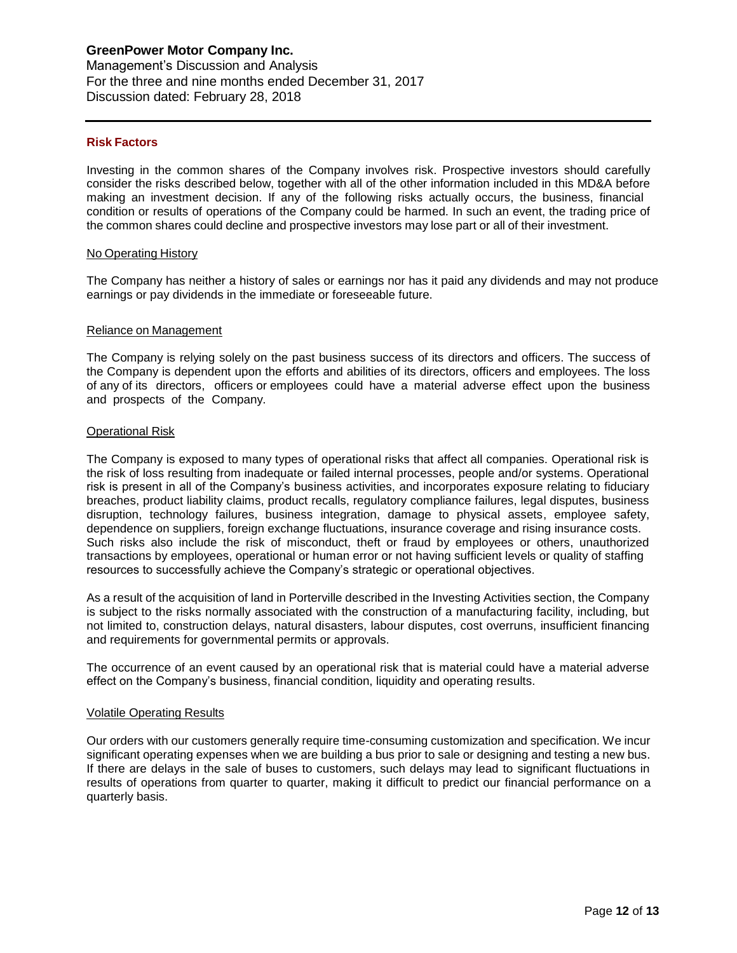#### **Risk Factors**

Investing in the common shares of the Company involves risk. Prospective investors should carefully consider the risks described below, together with all of the other information included in this MD&A before making an investment decision. If any of the following risks actually occurs, the business, financial condition or results of operations of the Company could be harmed. In such an event, the trading price of the common shares could decline and prospective investors may lose part or all of their investment.

#### No Operating History

The Company has neither a history of sales or earnings nor has it paid any dividends and may not produce earnings or pay dividends in the immediate or foreseeable future.

#### Reliance on Management

The Company is relying solely on the past business success of its directors and officers. The success of the Company is dependent upon the efforts and abilities of its directors, officers and employees. The loss of any of its directors, officers or employees could have a material adverse effect upon the business and prospects of the Company.

#### Operational Risk

The Company is exposed to many types of operational risks that affect all companies. Operational risk is the risk of loss resulting from inadequate or failed internal processes, people and/or systems. Operational risk is present in all of the Company's business activities, and incorporates exposure relating to fiduciary breaches, product liability claims, product recalls, regulatory compliance failures, legal disputes, business disruption, technology failures, business integration, damage to physical assets, employee safety, dependence on suppliers, foreign exchange fluctuations, insurance coverage and rising insurance costs. Such risks also include the risk of misconduct, theft or fraud by employees or others, unauthorized transactions by employees, operational or human error or not having sufficient levels or quality of staffing resources to successfully achieve the Company's strategic or operational objectives.

As a result of the acquisition of land in Porterville described in the Investing Activities section, the Company is subject to the risks normally associated with the construction of a manufacturing facility, including, but not limited to, construction delays, natural disasters, labour disputes, cost overruns, insufficient financing and requirements for governmental permits or approvals.

The occurrence of an event caused by an operational risk that is material could have a material adverse effect on the Company's business, financial condition, liquidity and operating results.

#### Volatile Operating Results

Our orders with our customers generally require time-consuming customization and specification. We incur significant operating expenses when we are building a bus prior to sale or designing and testing a new bus. If there are delays in the sale of buses to customers, such delays may lead to significant fluctuations in results of operations from quarter to quarter, making it difficult to predict our financial performance on a quarterly basis.